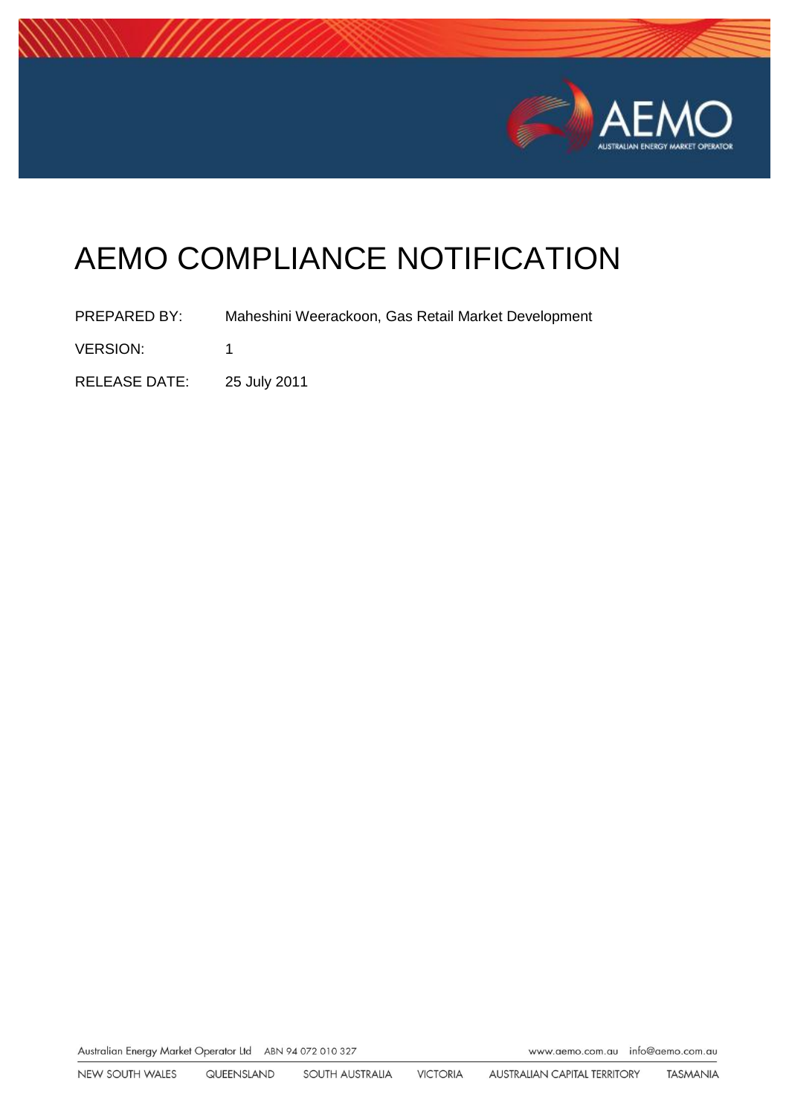

# AEMO COMPLIANCE NOTIFICATION

PREPARED BY: Maheshini Weerackoon, Gas Retail Market Development VERSION: 1 RELEASE DATE: 25 July 2011

Australian Energy Market Operator Ltd ABN 94 072 010 327

www.aemo.com.au info@aemo.com.au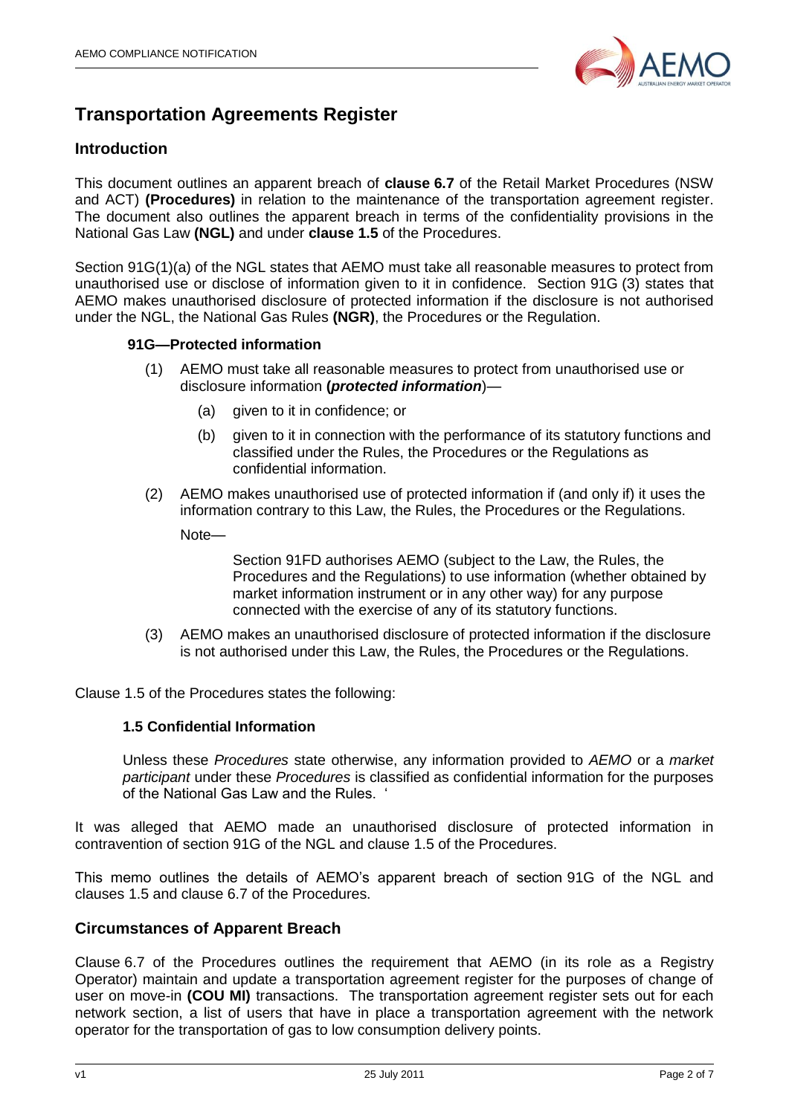

# **Transportation Agreements Register**

# **Introduction**

This document outlines an apparent breach of **clause 6.7** of the Retail Market Procedures (NSW and ACT) **(Procedures)** in relation to the maintenance of the transportation agreement register. The document also outlines the apparent breach in terms of the confidentiality provisions in the National Gas Law **(NGL)** and under **clause 1.5** of the Procedures.

Section 91G(1)(a) of the NGL states that AEMO must take all reasonable measures to protect from unauthorised use or disclose of information given to it in confidence. Section 91G (3) states that AEMO makes unauthorised disclosure of protected information if the disclosure is not authorised under the NGL, the National Gas Rules **(NGR)**, the Procedures or the Regulation.

#### **91G—Protected information**

- (1) AEMO must take all reasonable measures to protect from unauthorised use or disclosure information **(***protected information*)—
	- (a) given to it in confidence; or
	- (b) given to it in connection with the performance of its statutory functions and classified under the Rules, the Procedures or the Regulations as confidential information.
- (2) AEMO makes unauthorised use of protected information if (and only if) it uses the information contrary to this Law, the Rules, the Procedures or the Regulations.

Note—

Section 91FD authorises AEMO (subject to the Law, the Rules, the Procedures and the Regulations) to use information (whether obtained by market information instrument or in any other way) for any purpose connected with the exercise of any of its statutory functions.

(3) AEMO makes an unauthorised disclosure of protected information if the disclosure is not authorised under this Law, the Rules, the Procedures or the Regulations.

Clause 1.5 of the Procedures states the following:

#### **1.5 Confidential Information**

Unless these *Procedures* state otherwise, any information provided to *AEMO* or a *market participant* under these *Procedures* is classified as confidential information for the purposes of the National Gas Law and the Rules. '

It was alleged that AEMO made an unauthorised disclosure of protected information in contravention of section 91G of the NGL and clause 1.5 of the Procedures.

This memo outlines the details of AEMO's apparent breach of section 91G of the NGL and clauses 1.5 and clause 6.7 of the Procedures.

# **Circumstances of Apparent Breach**

Clause 6.7 of the Procedures outlines the requirement that AEMO (in its role as a Registry Operator) maintain and update a transportation agreement register for the purposes of change of user on move-in **(COU MI)** transactions. The transportation agreement register sets out for each network section, a list of users that have in place a transportation agreement with the network operator for the transportation of gas to low consumption delivery points.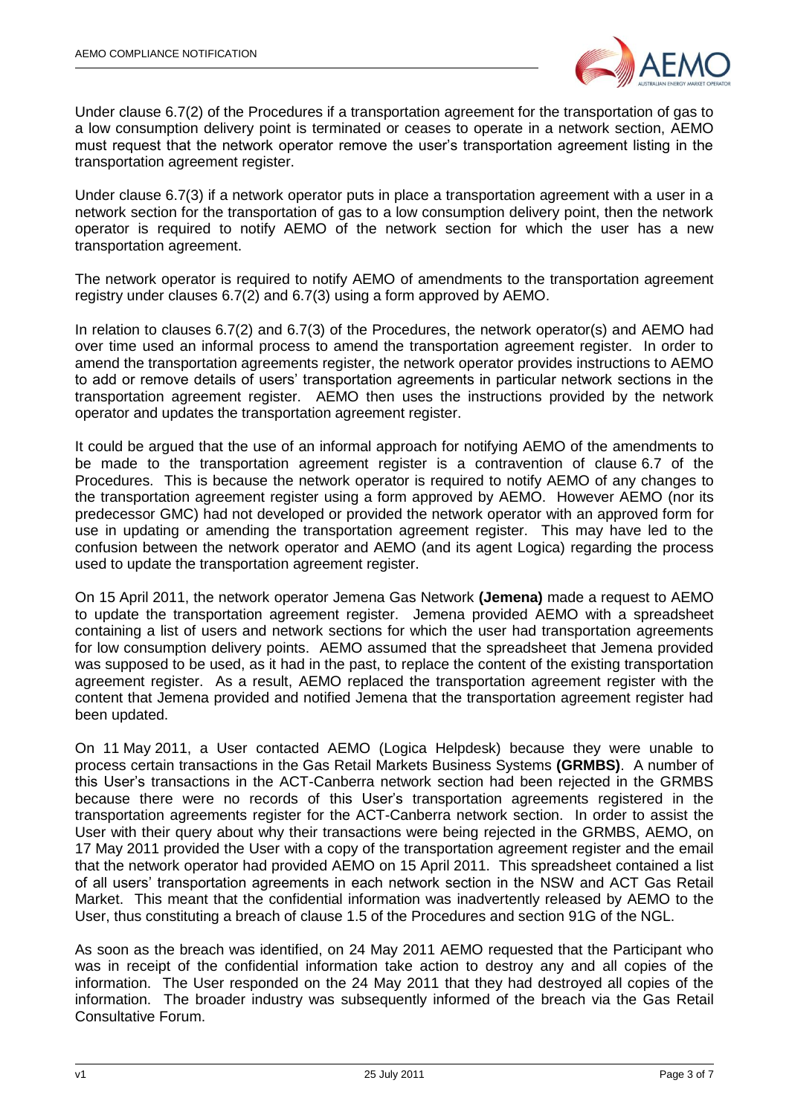

Under clause 6.7(2) of the Procedures if a transportation agreement for the transportation of gas to a low consumption delivery point is terminated or ceases to operate in a network section, AEMO must request that the network operator remove the user's transportation agreement listing in the transportation agreement register.

Under clause 6.7(3) if a network operator puts in place a transportation agreement with a user in a network section for the transportation of gas to a low consumption delivery point, then the network operator is required to notify AEMO of the network section for which the user has a new transportation agreement.

The network operator is required to notify AEMO of amendments to the transportation agreement registry under clauses 6.7(2) and 6.7(3) using a form approved by AEMO.

In relation to clauses 6.7(2) and 6.7(3) of the Procedures, the network operator(s) and AEMO had over time used an informal process to amend the transportation agreement register. In order to amend the transportation agreements register, the network operator provides instructions to AEMO to add or remove details of users' transportation agreements in particular network sections in the transportation agreement register. AEMO then uses the instructions provided by the network operator and updates the transportation agreement register.

It could be argued that the use of an informal approach for notifying AEMO of the amendments to be made to the transportation agreement register is a contravention of clause 6.7 of the Procedures. This is because the network operator is required to notify AEMO of any changes to the transportation agreement register using a form approved by AEMO. However AEMO (nor its predecessor GMC) had not developed or provided the network operator with an approved form for use in updating or amending the transportation agreement register. This may have led to the confusion between the network operator and AEMO (and its agent Logica) regarding the process used to update the transportation agreement register.

On 15 April 2011, the network operator Jemena Gas Network **(Jemena)** made a request to AEMO to update the transportation agreement register. Jemena provided AEMO with a spreadsheet containing a list of users and network sections for which the user had transportation agreements for low consumption delivery points. AEMO assumed that the spreadsheet that Jemena provided was supposed to be used, as it had in the past, to replace the content of the existing transportation agreement register. As a result, AEMO replaced the transportation agreement register with the content that Jemena provided and notified Jemena that the transportation agreement register had been updated.

On 11 May 2011, a User contacted AEMO (Logica Helpdesk) because they were unable to process certain transactions in the Gas Retail Markets Business Systems **(GRMBS)**. A number of this User's transactions in the ACT-Canberra network section had been rejected in the GRMBS because there were no records of this User's transportation agreements registered in the transportation agreements register for the ACT-Canberra network section. In order to assist the User with their query about why their transactions were being rejected in the GRMBS, AEMO, on 17 May 2011 provided the User with a copy of the transportation agreement register and the email that the network operator had provided AEMO on 15 April 2011. This spreadsheet contained a list of all users' transportation agreements in each network section in the NSW and ACT Gas Retail Market. This meant that the confidential information was inadvertently released by AEMO to the User, thus constituting a breach of clause 1.5 of the Procedures and section 91G of the NGL.

As soon as the breach was identified, on 24 May 2011 AEMO requested that the Participant who was in receipt of the confidential information take action to destroy any and all copies of the information. The User responded on the 24 May 2011 that they had destroyed all copies of the information. The broader industry was subsequently informed of the breach via the Gas Retail Consultative Forum.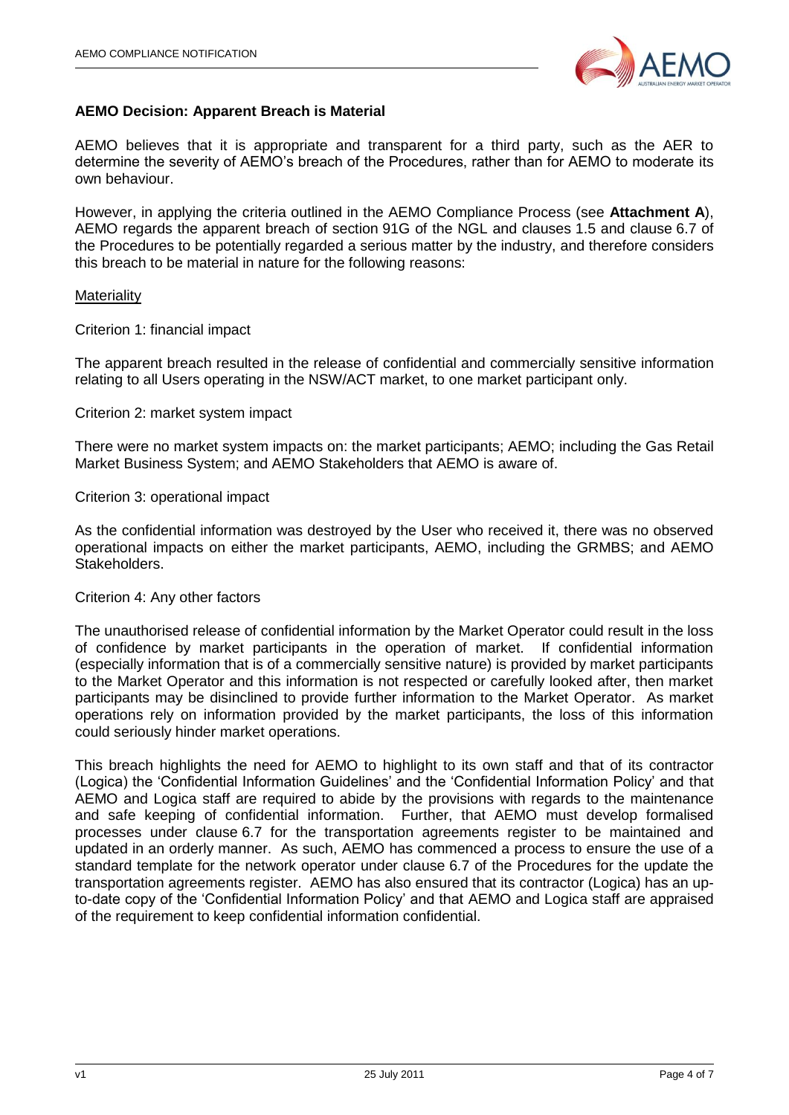

# **AEMO Decision: Apparent Breach is Material**

AEMO believes that it is appropriate and transparent for a third party, such as the AER to determine the severity of AEMO's breach of the Procedures, rather than for AEMO to moderate its own behaviour.

However, in applying the criteria outlined in the AEMO Compliance Process (see **Attachment A**), AEMO regards the apparent breach of section 91G of the NGL and clauses 1.5 and clause 6.7 of the Procedures to be potentially regarded a serious matter by the industry, and therefore considers this breach to be material in nature for the following reasons:

#### **Materiality**

Criterion 1: financial impact

The apparent breach resulted in the release of confidential and commercially sensitive information relating to all Users operating in the NSW/ACT market, to one market participant only.

#### Criterion 2: market system impact

There were no market system impacts on: the market participants; AEMO; including the Gas Retail Market Business System; and AEMO Stakeholders that AEMO is aware of.

#### Criterion 3: operational impact

As the confidential information was destroyed by the User who received it, there was no observed operational impacts on either the market participants, AEMO, including the GRMBS; and AEMO Stakeholders.

#### Criterion 4: Any other factors

The unauthorised release of confidential information by the Market Operator could result in the loss of confidence by market participants in the operation of market. If confidential information (especially information that is of a commercially sensitive nature) is provided by market participants to the Market Operator and this information is not respected or carefully looked after, then market participants may be disinclined to provide further information to the Market Operator. As market operations rely on information provided by the market participants, the loss of this information could seriously hinder market operations.

This breach highlights the need for AEMO to highlight to its own staff and that of its contractor (Logica) the 'Confidential Information Guidelines' and the 'Confidential Information Policy' and that AEMO and Logica staff are required to abide by the provisions with regards to the maintenance and safe keeping of confidential information. Further, that AEMO must develop formalised processes under clause 6.7 for the transportation agreements register to be maintained and updated in an orderly manner. As such, AEMO has commenced a process to ensure the use of a standard template for the network operator under clause 6.7 of the Procedures for the update the transportation agreements register. AEMO has also ensured that its contractor (Logica) has an upto-date copy of the 'Confidential Information Policy' and that AEMO and Logica staff are appraised of the requirement to keep confidential information confidential.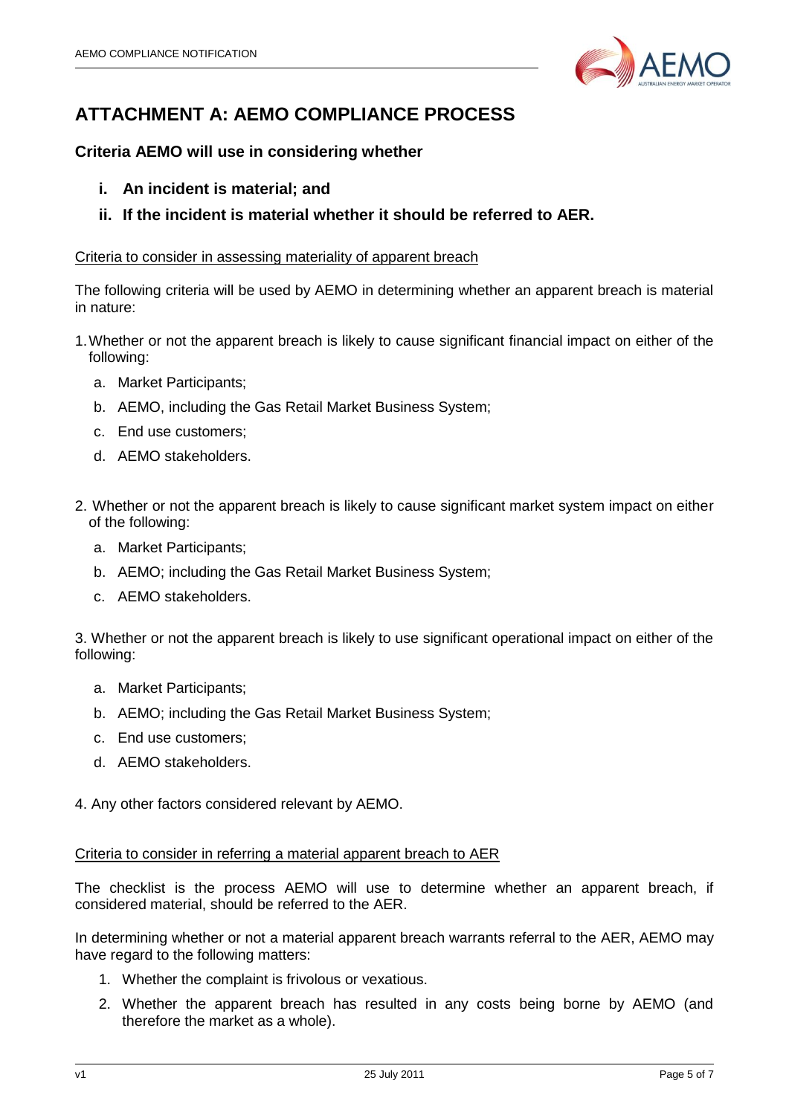

# **ATTACHMENT A: AEMO COMPLIANCE PROCESS**

# **Criteria AEMO will use in considering whether**

- **i. An incident is material; and**
- **ii. If the incident is material whether it should be referred to AER.**

# Criteria to consider in assessing materiality of apparent breach

The following criteria will be used by AEMO in determining whether an apparent breach is material in nature:

- 1.Whether or not the apparent breach is likely to cause significant financial impact on either of the following:
	- a. Market Participants;
	- b. AEMO, including the Gas Retail Market Business System;
	- c. End use customers;
	- d. AEMO stakeholders.
- 2. Whether or not the apparent breach is likely to cause significant market system impact on either of the following:
	- a. Market Participants;
	- b. AEMO; including the Gas Retail Market Business System;
	- c. AEMO stakeholders.

3. Whether or not the apparent breach is likely to use significant operational impact on either of the following:

- a. Market Participants;
- b. AEMO; including the Gas Retail Market Business System;
- c. End use customers;
- d. AEMO stakeholders.

4. Any other factors considered relevant by AEMO.

# Criteria to consider in referring a material apparent breach to AER

The checklist is the process AEMO will use to determine whether an apparent breach, if considered material, should be referred to the AER.

In determining whether or not a material apparent breach warrants referral to the AER, AEMO may have regard to the following matters:

- 1. Whether the complaint is frivolous or vexatious.
- 2. Whether the apparent breach has resulted in any costs being borne by AEMO (and therefore the market as a whole).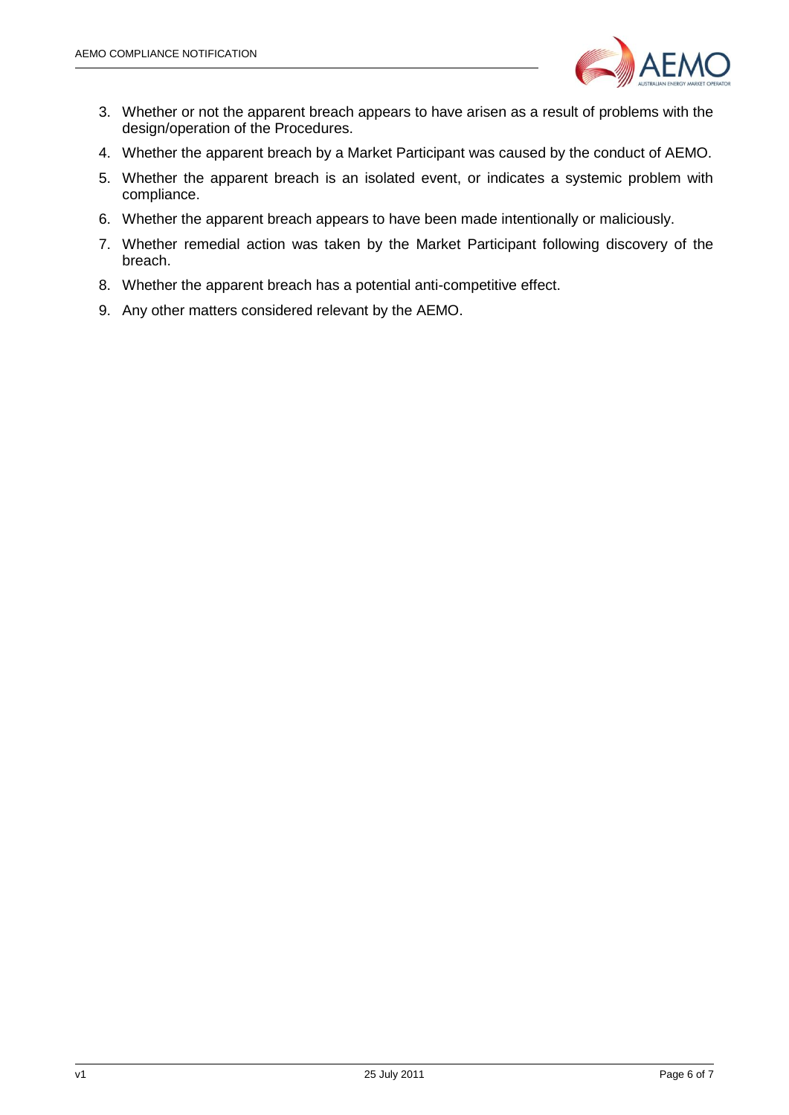

- 3. Whether or not the apparent breach appears to have arisen as a result of problems with the design/operation of the Procedures.
- 4. Whether the apparent breach by a Market Participant was caused by the conduct of AEMO.
- 5. Whether the apparent breach is an isolated event, or indicates a systemic problem with compliance.
- 6. Whether the apparent breach appears to have been made intentionally or maliciously.
- 7. Whether remedial action was taken by the Market Participant following discovery of the breach.
- 8. Whether the apparent breach has a potential anti-competitive effect.
- 9. Any other matters considered relevant by the AEMO.